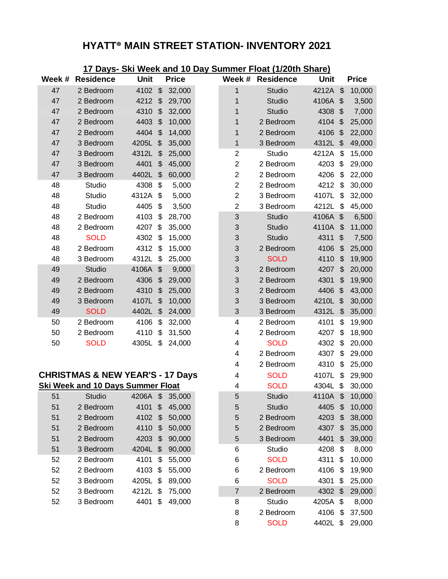# **HYATT® MAIN STREET STATION- INVENTORY 2021**

| 17 Days- Ski Week and 10 Day Summer Float (1/20th Share) |                                             |             |                           |              |  |                           |                  |             |                           |              |
|----------------------------------------------------------|---------------------------------------------|-------------|---------------------------|--------------|--|---------------------------|------------------|-------------|---------------------------|--------------|
| Week #                                                   | <b>Residence</b>                            | <b>Unit</b> |                           | <b>Price</b> |  |                           | Week # Residence | <b>Unit</b> |                           | <b>Price</b> |
| 47                                                       | 2 Bedroom                                   | 4102        | $\frac{1}{2}$             | 32,000       |  | 1                         | Studio           | 4212A       | $\mathfrak{S}$            | 10,000       |
| 47                                                       | 2 Bedroom                                   | 4212        | $\frac{1}{2}$             | 29,700       |  | 1                         | Studio           | 4106A       | $\boldsymbol{\mathsf{S}}$ | 3,500        |
| 47                                                       | 2 Bedroom                                   | 4310        | \$                        | 32,000       |  | 1                         | Studio           | 4308        | $\mathfrak{S}$            | 7,000        |
| 47                                                       | 2 Bedroom                                   | 4403        | \$                        | 10,000       |  | 1                         | 2 Bedroom        | 4104        | $\mathfrak{S}$            | 25,000       |
| 47                                                       | 2 Bedroom                                   | 4404        | $\boldsymbol{\mathsf{S}}$ | 14,000       |  | 1                         | 2 Bedroom        | 4106        | \$                        | 22,000       |
| 47                                                       | 3 Bedroom                                   | 4205L       | \$                        | 35,000       |  | 1                         | 3 Bedroom        | 4312L       | \$                        | 49,000       |
| 47                                                       | 3 Bedroom                                   | 4312L       | \$                        | 25,000       |  | $\overline{c}$            | <b>Studio</b>    | 4212A       | \$                        | 15,000       |
| 47                                                       | 3 Bedroom                                   | 4401        | \$                        | 45,000       |  | $\overline{c}$            | 2 Bedroom        | 4203        | \$                        | 29,000       |
| 47                                                       | 3 Bedroom                                   | 4402L       | \$                        | 60,000       |  | $\mathbf 2$               | 2 Bedroom        | 4206        | \$                        | 22,000       |
| 48                                                       | Studio                                      | 4308        | \$                        | 5,000        |  | $\overline{2}$            | 2 Bedroom        | 4212        | \$                        | 30,000       |
| 48                                                       | Studio                                      | 4312A       | \$                        | 5,000        |  | $\overline{c}$            | 3 Bedroom        | 4107L       | \$                        | 32,000       |
| 48                                                       | Studio                                      | 4405        | \$                        | 3,500        |  | $\mathbf 2$               | 3 Bedroom        | 4212L       | \$                        | 45,000       |
| 48                                                       | 2 Bedroom                                   | 4103        | \$                        | 28,700       |  | $\mathfrak{S}$            | Studio           | 4106A       | $\boldsymbol{\mathsf{S}}$ | 6,500        |
| 48                                                       | 2 Bedroom                                   | 4207        | \$                        | 35,000       |  | 3                         | <b>Studio</b>    | 4110A       | $\boldsymbol{\mathsf{S}}$ | 11,000       |
| 48                                                       | <b>SOLD</b>                                 | 4302        | \$                        | 15,000       |  | 3                         | Studio           | 4311        | $\boldsymbol{\mathsf{S}}$ | 7,500        |
| 48                                                       | 2 Bedroom                                   | 4312        | \$                        | 15,000       |  | 3                         | 2 Bedroom        | 4106        | \$                        | 25,000       |
| 48                                                       | 3 Bedroom                                   | 4312L       | \$                        | 25,000       |  | 3                         | <b>SOLD</b>      | 4110        | \$                        | 19,900       |
| 49                                                       | Studio                                      | 4106A       | \$                        | 9,000        |  | 3                         | 2 Bedroom        | 4207        | \$                        | 20,000       |
| 49                                                       | 2 Bedroom                                   | 4306        | \$                        | 29,000       |  | 3                         | 2 Bedroom        | 4301        | \$                        | 19,900       |
| 49                                                       | 2 Bedroom                                   | 4310        | $\boldsymbol{\mathsf{S}}$ | 25,000       |  | 3                         | 2 Bedroom        | 4406        | $\boldsymbol{\mathsf{S}}$ | 43,000       |
| 49                                                       | 3 Bedroom                                   | 4107L       | \$                        | 10,000       |  | $\ensuremath{\mathsf{3}}$ | 3 Bedroom        | 4210L       | \$                        | 30,000       |
| 49                                                       | <b>SOLD</b>                                 | 4402L       | $\frac{1}{2}$             | 24,000       |  | $\mathfrak{S}$            | 3 Bedroom        | 4312L       | \$                        | 35,000       |
| 50                                                       | 2 Bedroom                                   | 4106        | \$                        | 32,000       |  | 4                         | 2 Bedroom        | 4101        | \$                        | 19,900       |
| 50                                                       | 2 Bedroom                                   | 4110        | \$                        | 31,500       |  | 4                         | 2 Bedroom        | 4207        | \$                        | 18,900       |
| 50                                                       | <b>SOLD</b>                                 | 4305L       | \$                        | 24,000       |  | 4                         | <b>SOLD</b>      | 4302        | \$                        | 20,000       |
|                                                          |                                             |             |                           |              |  | 4                         | 2 Bedroom        | 4307        | \$                        | 29,000       |
|                                                          |                                             |             |                           |              |  | 4                         | 2 Bedroom        | 4310        | \$                        | 25,000       |
|                                                          | <b>CHRISTMAS &amp; NEW YEAR'S - 17 Days</b> |             |                           |              |  | 4                         | <b>SOLD</b>      | 4107L       | \$                        | 29,900       |
|                                                          | <b>Ski Week and 10 Days Summer Float</b>    |             |                           |              |  | 4                         | <b>SOLD</b>      | 4304L       | \$                        | 30,000       |
| 51                                                       | Studio                                      | 4206A       | \$                        | 35,000       |  | 5                         | Studio           | 4110A       | \$                        | 10,000       |
| 51                                                       | 2 Bedroom                                   | 4101        | \$                        | 45,000       |  | 5                         | Studio           | 4405        | \$                        | 10,000       |
| 51                                                       | 2 Bedroom                                   | 4102        | $\boldsymbol{\mathsf{S}}$ | 50,000       |  | 5                         | 2 Bedroom        | 4203        | \$                        | 38,000       |
| 51                                                       | 2 Bedroom                                   | 4110        | \$                        | 50,000       |  | 5                         | 2 Bedroom        | 4307        | \$                        | 35,000       |
| 51                                                       | 2 Bedroom                                   | 4203        | $\frac{2}{3}$             | 90,000       |  | $\sqrt{5}$                | 3 Bedroom        | 4401        | \$                        | 39,000       |
| 51                                                       | 3 Bedroom                                   | 4204L       | \$                        | 90,000       |  | 6                         | Studio           | 4208        | \$                        | 8,000        |
| 52                                                       | 2 Bedroom                                   | 4101        | \$                        | 55,000       |  | 6                         | <b>SOLD</b>      | 4311        | \$                        | 10,000       |
| 52                                                       | 2 Bedroom                                   | 4103        | \$                        | 55,000       |  | 6                         | 2 Bedroom        | 4106        | \$                        | 19,900       |
| 52                                                       | 3 Bedroom                                   | 4205L       | \$                        | 89,000       |  | 6                         | <b>SOLD</b>      | 4301        | \$                        | 25,000       |
| 52                                                       | 3 Bedroom                                   | 4212L \$    |                           | 75,000       |  | $\overline{7}$            | 2 Bedroom        | 4302        | $\mathfrak{F}$            | 29,000       |
| 52                                                       | 3 Bedroom                                   | 4401        | \$                        | 49,000       |  | 8                         | Studio           | 4205A       | \$                        | 8,000        |
|                                                          |                                             |             |                           |              |  | 8                         | 2 Bedroom        | 4106        | \$                        | 37,500       |

**SOLD** 4402L \$ 29,000